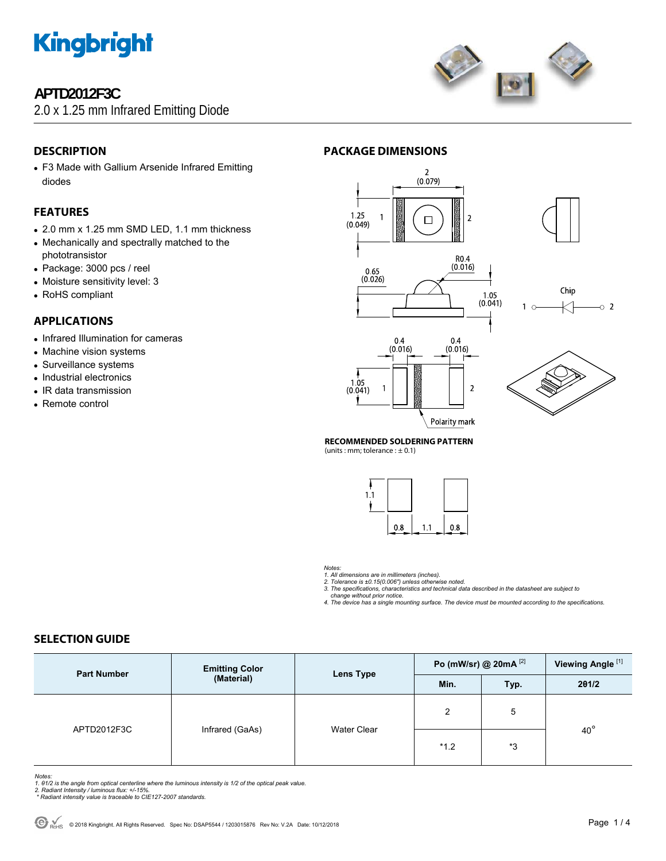

### **APTD2012F3C**

2.0 x 1.25 mm Infrared Emitting Diode



### **PACKAGE DIMENSIONS**

- **DESCRIPTION**
- F3 Made with Gallium Arsenide Infrared Emitting diodes

#### **FEATURES**

- 2.0 mm x 1.25 mm SMD LED, 1.1 mm thickness
- Mechanically and spectrally matched to the phototransistor
- Package: 3000 pcs / reel
- Moisture sensitivity level: 3
- RoHS compliant

#### **APPLICATIONS**

- Infrared Illumination for cameras
- Machine vision systems
- Surveillance systems
- Industrial electronics
- IR data transmission
- Remote control



Polarity mark

#### **RECOMMENDED SOLDERING PATTERN**

(units : mm; tolerance :  $\pm$  0.1)



*Notes:* 

1. All dimensions are in millimeters (inches).<br>2. Tolerance is ±0.15(0.006") unless otherwise noted.<br>3. The specifications, characteristics and technical data described in the datasheet are subject to  *change without prior notice.* 

*4. The device has a single mounting surface. The device must be mounted according to the specifications.* 

### **SELECTION GUIDE**

| <b>Part Number</b> | <b>Emitting Color</b><br>(Material) | Lens Type          | Po (mW/sr) @ 20mA [2] |      | Viewing Angle <sup>[1]</sup> |
|--------------------|-------------------------------------|--------------------|-----------------------|------|------------------------------|
|                    |                                     |                    | Min.                  | Typ. | 201/2                        |
| APTD2012F3C        | Infrared (GaAs)                     | <b>Water Clear</b> | 2                     | 5    | $40^{\circ}$                 |
|                    |                                     |                    | $*1.2$                | *3   |                              |

- Notes:<br>1. 61/2 is the angle from optical centerline where the luminous intensity is 1/2 of the optical peak value.<br>2. Radiant Intensity / luminous flux: +/-15%.<br>\* Radiant intensity value is traceable to CIE127-2007 standar
- 
-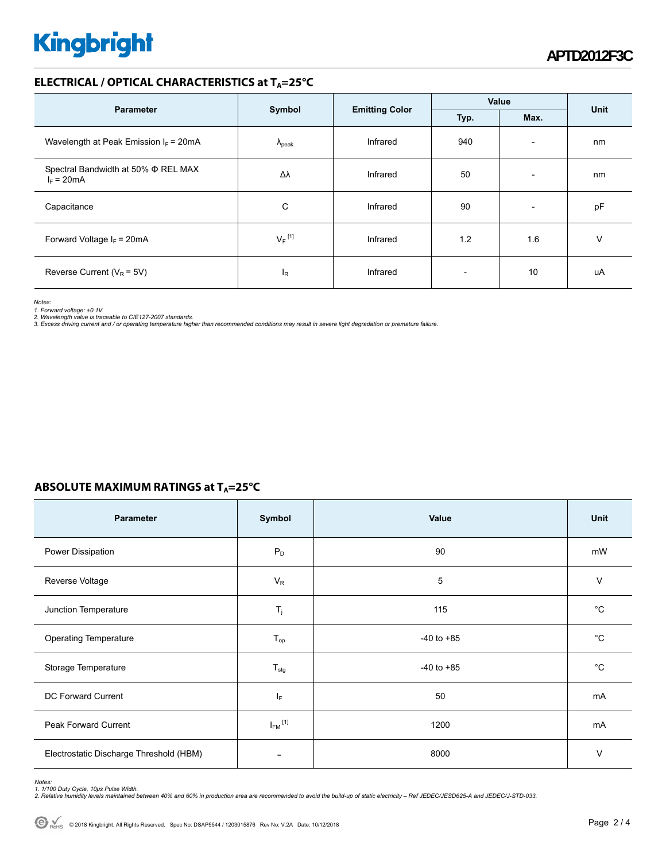# **Kingbright**

#### **ELECTRICAL / OPTICAL CHARACTERISTICS at TA=25°C**

| <b>Parameter</b>                                         | Symbol               | <b>Emitting Color</b> | Value |                          | Unit |
|----------------------------------------------------------|----------------------|-----------------------|-------|--------------------------|------|
|                                                          |                      |                       | Typ.  | Max.                     |      |
| Wavelength at Peak Emission $I_F$ = 20mA                 | $\Lambda_{\rm peak}$ | Infrared              | 940   | $\overline{\phantom{a}}$ | nm   |
| Spectral Bandwidth at 50% $\Phi$ REL MAX<br>$I_F = 20mA$ | Δλ                   | Infrared              | 50    | $\overline{\phantom{a}}$ | nm   |
| Capacitance                                              | C                    | Infrared              | 90    | $\overline{\phantom{a}}$ | pF   |
| Forward Voltage $I_F$ = 20mA                             | $V_F$ <sup>[1]</sup> | Infrared              | 1.2   | 1.6                      | V    |
| Reverse Current ( $V_R$ = 5V)                            | ΙR                   | Infrared              |       | 10                       | uA   |

*Notes:* 

1. Forward voltage: ±0.1V.<br>2. Wavelength value is traceable to CIE127-2007 standards.<br>3. Excess driving current and / or operating temperature higher than recommended conditions may result in severe light degradation or pr

### **ABSOLUTE MAXIMUM RATINGS at T<sub>A</sub>=25°C**

| <b>Parameter</b>                        | Symbol                  | Value          | <b>Unit</b> |
|-----------------------------------------|-------------------------|----------------|-------------|
| Power Dissipation                       | $P_D$                   | 90             | mW          |
| Reverse Voltage                         | $V_R$                   | 5              | V           |
| Junction Temperature                    | $T_j$                   | 115            | °C          |
| Operating Temperature                   | $T_{op}$                | $-40$ to $+85$ | °C          |
| Storage Temperature                     | $T_{\text{stg}}$        | $-40$ to $+85$ | °C          |
| DC Forward Current                      | ΙF                      | 50             | mA          |
| Peak Forward Current                    | $I_{FM}$ <sup>[1]</sup> | 1200           | mA          |
| Electrostatic Discharge Threshold (HBM) |                         | 8000           | $\vee$      |

Notes:<br>1. 1/100 Duty Cycle, 10µs Pulse Width.<br>2. Relative humidity levels maintained between 40% and 60% in production area are recommended to avoid the build-up of static electricity – Ref JEDEC/JESD625-A and JEDEC/J-STD-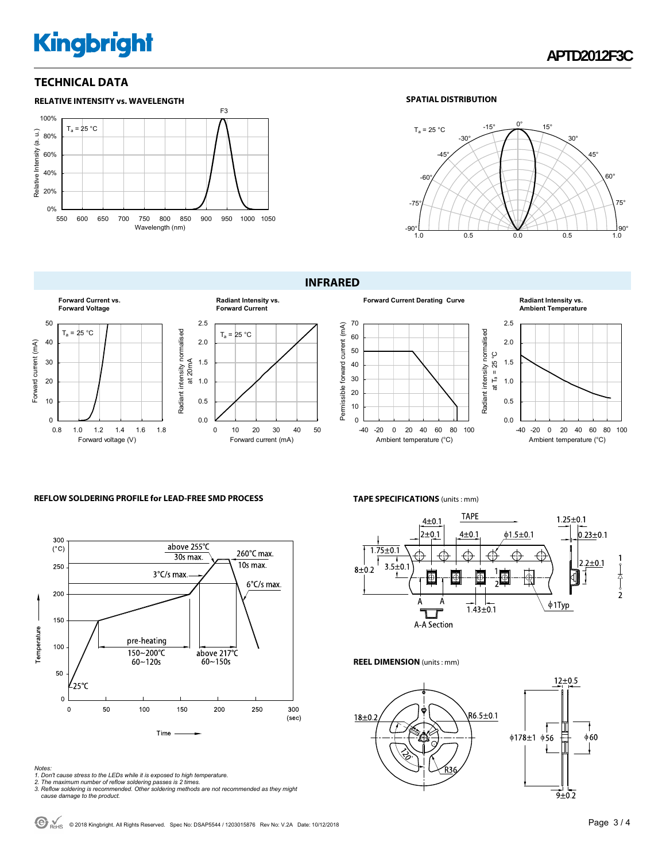# **Kingbright**

#### **TECHNICAL DATA**



#### **SPATIAL DISTRIBUTION**



#### **INFRARED**



## 0 10 20 30 40 50  $T_a = 25 °C$ Forward current (mA) **Radiant Intensity vs. Forward Current**



#### **Radiant Intensity vs. Ambient Temperature**



#### **REFLOW SOLDERING PROFILE for LEAD-FREE SMD PROCESS**



## **TAPE SPECIFICATIONS** (units : mm)



#### **REEL DIMENSION** (units : mm)



- 
- Notes:<br>1. Don't cause stress to the LEDs while it is exposed to high temperature.<br>2. The maximum number of reflow soldering passes is 2 times.<br>3. Reflow soldering is recommended. Other soldering methods are not recommended
-